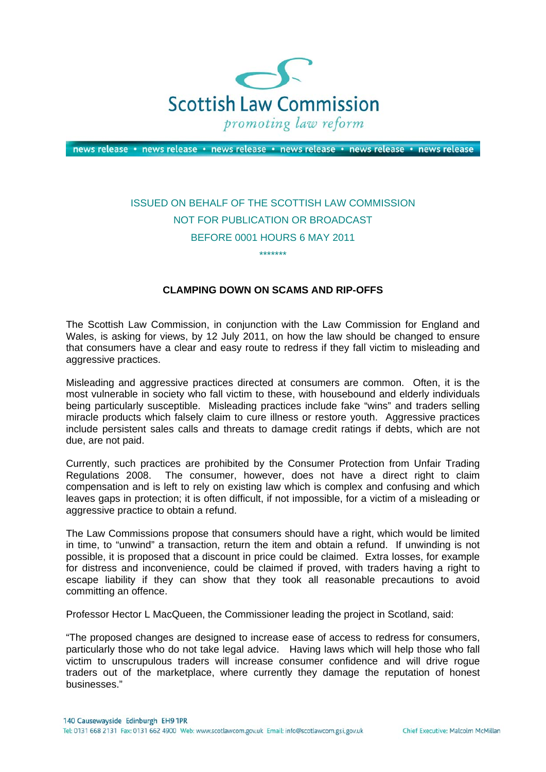

news release · news release · news release · news release · news release · news release

## ISSUED ON BEHALF OF THE SCOTTISH LAW COMMISSION NOT FOR PUBLICATION OR BROADCAST BEFORE 0001 HOURS 6 MAY 2011 \*\*\*\*\*\*\*

## **CLAMPING DOWN ON SCAMS AND RIP-OFFS**

The Scottish Law Commission, in conjunction with the Law Commission for England and Wales, is asking for views, by 12 July 2011, on how the law should be changed to ensure that consumers have a clear and easy route to redress if they fall victim to misleading and aggressive practices.

Misleading and aggressive practices directed at consumers are common. Often, it is the most vulnerable in society who fall victim to these, with housebound and elderly individuals being particularly susceptible. Misleading practices include fake "wins" and traders selling miracle products which falsely claim to cure illness or restore youth. Aggressive practices include persistent sales calls and threats to damage credit ratings if debts, which are not due, are not paid.

Currently, such practices are prohibited by the Consumer Protection from Unfair Trading Regulations 2008. The consumer, however, does not have a direct right to claim compensation and is left to rely on existing law which is complex and confusing and which leaves gaps in protection; it is often difficult, if not impossible, for a victim of a misleading or aggressive practice to obtain a refund.

The Law Commissions propose that consumers should have a right, which would be limited in time, to "unwind" a transaction, return the item and obtain a refund. If unwinding is not possible, it is proposed that a discount in price could be claimed. Extra losses, for example for distress and inconvenience, could be claimed if proved, with traders having a right to escape liability if they can show that they took all reasonable precautions to avoid committing an offence.

Professor Hector L MacQueen, the Commissioner leading the project in Scotland, said:

"The proposed changes are designed to increase ease of access to redress for consumers, particularly those who do not take legal advice. Having laws which will help those who fall victim to unscrupulous traders will increase consumer confidence and will drive rogue traders out of the marketplace, where currently they damage the reputation of honest businesses."